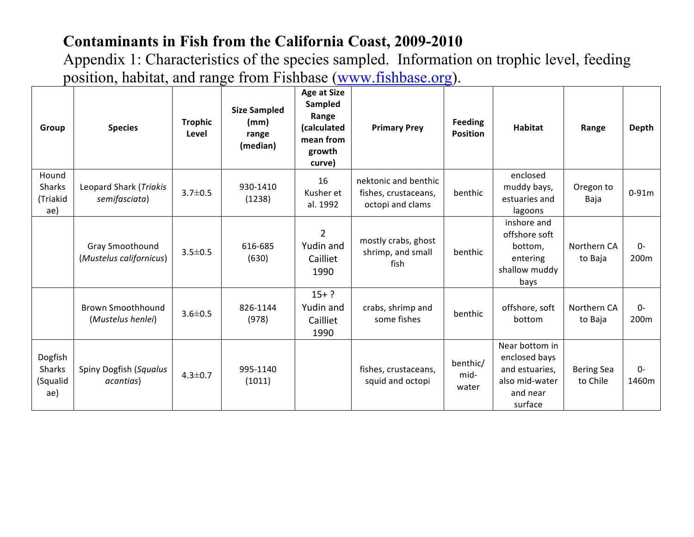| Group                                | <b>Species</b>                             | <b>Trophic</b><br>Level | <b>Size Sampled</b><br>(mm)<br>range<br>(median) | <b>Age at Size</b><br>Sampled<br>Range<br>(calculated<br>mean from<br>growth<br>curve) | <b>Primary Prey</b>                                              | <b>Feeding</b><br><b>Position</b> | <b>Habitat</b>                                                                             | Range                         | <b>Depth</b>  |
|--------------------------------------|--------------------------------------------|-------------------------|--------------------------------------------------|----------------------------------------------------------------------------------------|------------------------------------------------------------------|-----------------------------------|--------------------------------------------------------------------------------------------|-------------------------------|---------------|
| Hound<br>Sharks<br>(Triakid<br>ae)   | Leopard Shark (Triakis<br>semifasciata)    | $3.7 \pm 0.5$           | 930-1410<br>(1238)                               | 16<br>Kusher et<br>al. 1992                                                            | nektonic and benthic<br>fishes, crustaceans,<br>octopi and clams | benthic                           | enclosed<br>muddy bays,<br>estuaries and<br>lagoons                                        | Oregon to<br>Baja             | $0-91m$       |
|                                      | Gray Smoothound<br>(Mustelus californicus) | $3.5 \pm 0.5$           | 616-685<br>(630)                                 | $\overline{2}$<br>Yudin and<br>Cailliet<br>1990                                        | mostly crabs, ghost<br>shrimp, and small<br>fish                 | benthic                           | inshore and<br>offshore soft<br>bottom,<br>entering<br>shallow muddy<br>bays               | Northern CA<br>to Baja        | $0-$<br>200m  |
|                                      | Brown Smoothhound<br>(Mustelus henlei)     | $3.6 \pm 0.5$           | 826-1144<br>(978)                                | $15+?$<br>Yudin and<br>Cailliet<br>1990                                                | crabs, shrimp and<br>some fishes                                 | benthic                           | offshore, soft<br>bottom                                                                   | Northern CA<br>to Baja        | $0-$<br>200m  |
| Dogfish<br>Sharks<br>(Squalid<br>ae) | Spiny Dogfish (Squalus<br>acantias)        | $4.3 \pm 0.7$           | 995-1140<br>(1011)                               |                                                                                        | fishes, crustaceans,<br>squid and octopi                         | benthic/<br>mid-<br>water         | Near bottom in<br>enclosed bays<br>and estuaries,<br>also mid-water<br>and near<br>surface | <b>Bering Sea</b><br>to Chile | $0-$<br>1460m |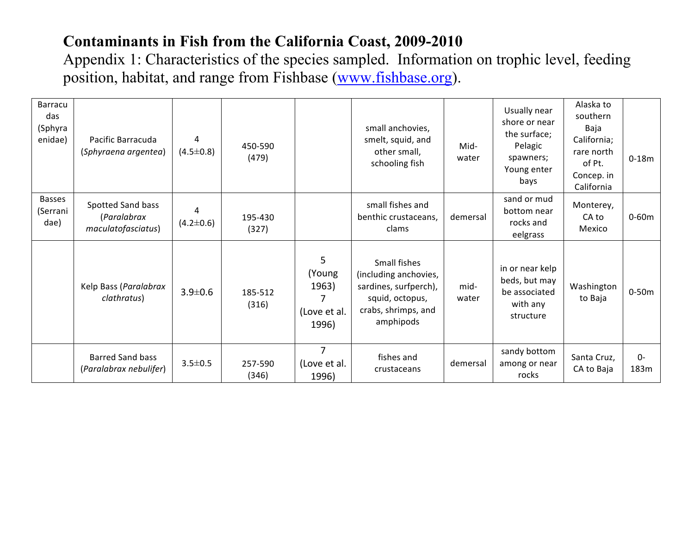| Barracu<br>das<br>(Sphyra<br>enidae) | Pacific Barracuda<br>(Sphyraena argentea)              | 4<br>$(4.5 \pm 0.8)$ | 450-590<br>(479) |                                               | small anchovies,<br>smelt, squid, and<br>other small,<br>schooling fish                                               | Mid-<br>water | Usually near<br>shore or near<br>the surface;<br>Pelagic<br>spawners;<br>Young enter<br>bays | Alaska to<br>southern<br>Baja<br>California;<br>rare north<br>of Pt.<br>Concep. in<br>California | $0-18m$      |
|--------------------------------------|--------------------------------------------------------|----------------------|------------------|-----------------------------------------------|-----------------------------------------------------------------------------------------------------------------------|---------------|----------------------------------------------------------------------------------------------|--------------------------------------------------------------------------------------------------|--------------|
| <b>Basses</b><br>(Serrani<br>dae)    | Spotted Sand bass<br>(Paralabrax<br>maculatofasciatus) | 4<br>$(4.2 \pm 0.6)$ | 195-430<br>(327) |                                               | small fishes and<br>benthic crustaceans,<br>clams                                                                     | demersal      | sand or mud<br>bottom near<br>rocks and<br>eelgrass                                          | Monterey,<br>CA to<br>Mexico                                                                     | $0-60m$      |
|                                      | Kelp Bass (Paralabrax<br>clathratus)                   | $3.9 \pm 0.6$        | 185-512<br>(316) | 5<br>(Young<br>1963)<br>(Love et al.<br>1996) | Small fishes<br>(including anchovies,<br>sardines, surfperch),<br>squid, octopus,<br>crabs, shrimps, and<br>amphipods | mid-<br>water | in or near kelp<br>beds, but may<br>be associated<br>with any<br>structure                   | Washington<br>to Baja                                                                            | $0-50m$      |
|                                      | <b>Barred Sand bass</b><br>(Paralabrax nebulifer)      | $3.5 \pm 0.5$        | 257-590<br>(346) | 7<br>(Love et al.<br>1996)                    | fishes and<br>crustaceans                                                                                             | demersal      | sandy bottom<br>among or near<br>rocks                                                       | Santa Cruz,<br>CA to Baja                                                                        | $0-$<br>183m |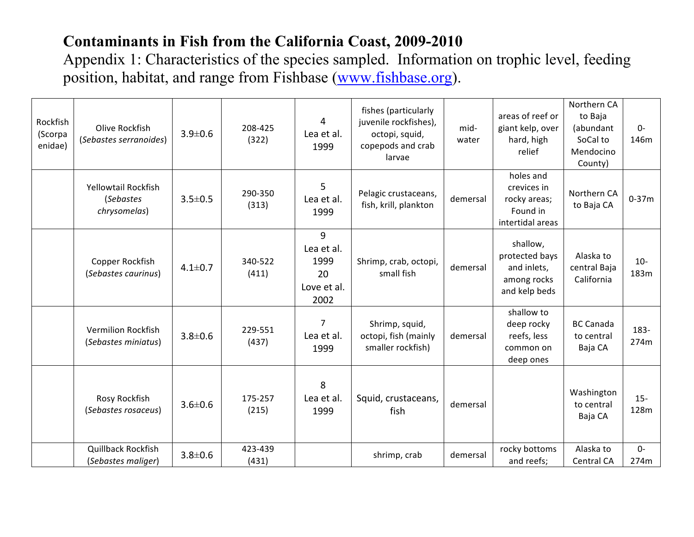| Rockfish<br>(Scorpa<br>enidae) | Olive Rockfish<br>(Sebastes serranoides)         | $3.9 \pm 0.6$ | 208-425<br>(322) | 4<br>Lea et al.<br>1999                              | fishes (particularly<br>juvenile rockfishes),<br>octopi, squid,<br>copepods and crab<br>larvae | mid-<br>water | areas of reef or<br>giant kelp, over<br>hard, high<br>relief              | Northern CA<br>to Baja<br>(abundant<br>SoCal to<br>Mendocino<br>County) | $0-$<br>146m  |
|--------------------------------|--------------------------------------------------|---------------|------------------|------------------------------------------------------|------------------------------------------------------------------------------------------------|---------------|---------------------------------------------------------------------------|-------------------------------------------------------------------------|---------------|
|                                | Yellowtail Rockfish<br>(Sebastes<br>chrysomelas) | $3.5 \pm 0.5$ | 290-350<br>(313) | 5<br>Lea et al.<br>1999                              | Pelagic crustaceans,<br>fish, krill, plankton                                                  | demersal      | holes and<br>crevices in<br>rocky areas;<br>Found in<br>intertidal areas  | Northern CA<br>to Baja CA                                               | $0 - 37m$     |
|                                | Copper Rockfish<br>(Sebastes caurinus)           | $4.1 \pm 0.7$ | 340-522<br>(411) | 9<br>Lea et al.<br>1999<br>20<br>Love et al.<br>2002 | Shrimp, crab, octopi,<br>small fish                                                            | demersal      | shallow,<br>protected bays<br>and inlets,<br>among rocks<br>and kelp beds | Alaska to<br>central Baja<br>California                                 | $10-$<br>183m |
|                                | <b>Vermilion Rockfish</b><br>(Sebastes miniatus) | $3.8 \pm 0.6$ | 229-551<br>(437) | 7<br>Lea et al.<br>1999                              | Shrimp, squid,<br>octopi, fish (mainly<br>smaller rockfish)                                    | demersal      | shallow to<br>deep rocky<br>reefs, less<br>common on<br>deep ones         | <b>BC Canada</b><br>to central<br>Baja CA                               | 183-<br>274m  |
|                                | Rosy Rockfish<br>(Sebastes rosaceus)             | $3.6 \pm 0.6$ | 175-257<br>(215) | 8<br>Lea et al.<br>1999                              | Squid, crustaceans,<br>fish                                                                    | demersal      |                                                                           | Washington<br>to central<br>Baja CA                                     | $15-$<br>128m |
|                                | Quillback Rockfish<br>(Sebastes maliger)         | $3.8 \pm 0.6$ | 423-439<br>(431) |                                                      | shrimp, crab                                                                                   | demersal      | rocky bottoms<br>and reefs;                                               | Alaska to<br>Central CA                                                 | $0 -$<br>274m |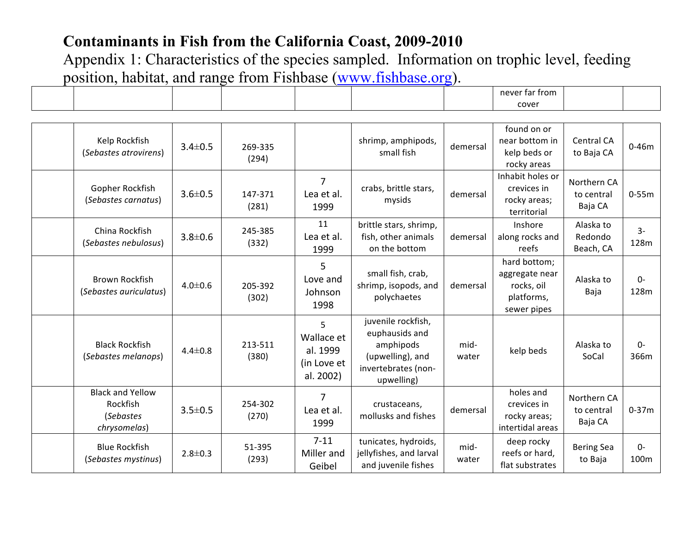|                                                                  |               |                  |                                                         |                                                                                                            |               | cover                                                                     |                                      |               |
|------------------------------------------------------------------|---------------|------------------|---------------------------------------------------------|------------------------------------------------------------------------------------------------------------|---------------|---------------------------------------------------------------------------|--------------------------------------|---------------|
|                                                                  |               |                  |                                                         |                                                                                                            |               |                                                                           |                                      |               |
| Kelp Rockfish<br>(Sebastes atrovirens)                           | $3.4 \pm 0.5$ | 269-335<br>(294) |                                                         | shrimp, amphipods,<br>small fish                                                                           | demersal      | found on or<br>near bottom in<br>kelp beds or<br>rocky areas              | <b>Central CA</b><br>to Baja CA      | $0 - 46m$     |
| Gopher Rockfish<br>(Sebastes carnatus)                           | $3.6 \pm 0.5$ | 147-371<br>(281) | $\overline{7}$<br>Lea et al.<br>1999                    | crabs, brittle stars,<br>mysids                                                                            | demersal      | Inhabit holes or<br>crevices in<br>rocky areas;<br>territorial            | Northern CA<br>to central<br>Baja CA | $0 - 55m$     |
| China Rockfish<br>(Sebastes nebulosus)                           | $3.8 \pm 0.6$ | 245-385<br>(332) | 11<br>Lea et al.<br>1999                                | brittle stars, shrimp,<br>fish, other animals<br>on the bottom                                             | demersal      | Inshore<br>along rocks and<br>reefs                                       | Alaska to<br>Redondo<br>Beach, CA    | $3-$<br>128m  |
| <b>Brown Rockfish</b><br>(Sebastes auriculatus)                  | $4.0 \pm 0.6$ | 205-392<br>(302) | 5<br>Love and<br>Johnson<br>1998                        | small fish, crab,<br>shrimp, isopods, and<br>polychaetes                                                   | demersal      | hard bottom;<br>aggregate near<br>rocks, oil<br>platforms,<br>sewer pipes | Alaska to<br>Baja                    | $0-$<br>128m  |
| <b>Black Rockfish</b><br>(Sebastes melanops)                     | $4.4 \pm 0.8$ | 213-511<br>(380) | 5<br>Wallace et<br>al. 1999<br>(in Love et<br>al. 2002) | juvenile rockfish,<br>euphausids and<br>amphipods<br>(upwelling), and<br>invertebrates (non-<br>upwelling) | mid-<br>water | kelp beds                                                                 | Alaska to<br>SoCal                   | $0 -$<br>366m |
| <b>Black and Yellow</b><br>Rockfish<br>(Sebastes<br>chrysomelas) | $3.5 \pm 0.5$ | 254-302<br>(270) | 7<br>Lea et al.<br>1999                                 | crustaceans,<br>mollusks and fishes                                                                        | demersal      | holes and<br>crevices in<br>rocky areas;<br>intertidal areas              | Northern CA<br>to central<br>Baja CA | $0 - 37m$     |
| <b>Blue Rockfish</b><br>(Sebastes mystinus)                      | $2.8 \pm 0.3$ | 51-395<br>(293)  | $7 - 11$<br>Miller and<br>Geibel                        | tunicates, hydroids,<br>jellyfishes, and larval<br>and juvenile fishes                                     | mid-<br>water | deep rocky<br>reefs or hard,<br>flat substrates                           | <b>Bering Sea</b><br>to Baja         | $0-$<br>100m  |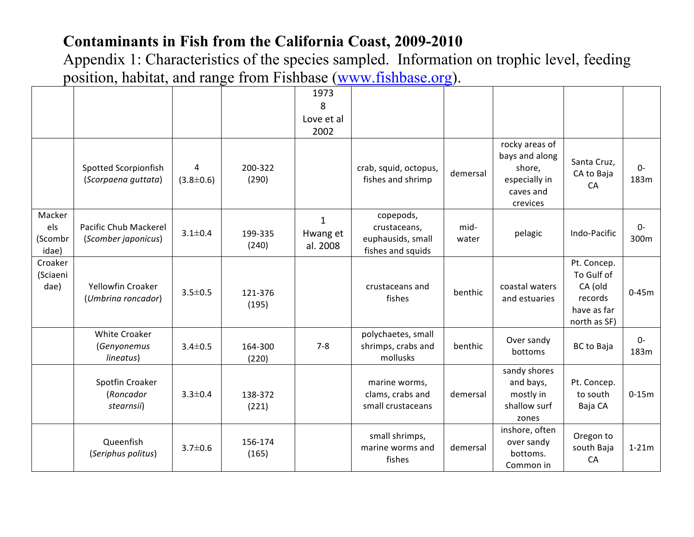|                                   |                                                         |                      |                  | 1973<br>8<br>Love et al<br>2002      |                                                                     |               |                                                                                      |                                                                                |               |
|-----------------------------------|---------------------------------------------------------|----------------------|------------------|--------------------------------------|---------------------------------------------------------------------|---------------|--------------------------------------------------------------------------------------|--------------------------------------------------------------------------------|---------------|
|                                   | Spotted Scorpionfish<br>(Scorpaena guttata)             | 4<br>$(3.8 \pm 0.6)$ | 200-322<br>(290) |                                      | crab, squid, octopus,<br>fishes and shrimp                          | demersal      | rocky areas of<br>bays and along<br>shore,<br>especially in<br>caves and<br>crevices | Santa Cruz,<br>CA to Baja<br>CA                                                | $0-$<br>183m  |
| Macker<br>els<br>(Scombr<br>idae) | Pacific Chub Mackerel<br>(Scomber japonicus)            | $3.1 \pm 0.4$        | 199-335<br>(240) | $\mathbf{1}$<br>Hwang et<br>al. 2008 | copepods,<br>crustaceans,<br>euphausids, small<br>fishes and squids | mid-<br>water | pelagic                                                                              | Indo-Pacific                                                                   | $0-$<br>300m  |
| Croaker<br>(Sciaeni<br>dae)       | <b>Yellowfin Croaker</b><br>(Umbrina roncador)          | $3.5 \pm 0.5$        | 121-376<br>(195) |                                      | crustaceans and<br>fishes                                           | benthic       | coastal waters<br>and estuaries                                                      | Pt. Concep.<br>To Gulf of<br>CA (old<br>records<br>have as far<br>north as SF) | $0 - 45m$     |
|                                   | <b>White Croaker</b><br><i>(Genyonemus</i><br>lineatus) | $3.4 \pm 0.5$        | 164-300<br>(220) | $7 - 8$                              | polychaetes, small<br>shrimps, crabs and<br>mollusks                | benthic       | Over sandy<br>bottoms                                                                | <b>BC</b> to Baja                                                              | $0 -$<br>183m |
|                                   | Spotfin Croaker<br>(Roncador<br>stearnsii)              | $3.3 \pm 0.4$        | 138-372<br>(221) |                                      | marine worms,<br>clams, crabs and<br>small crustaceans              | demersal      | sandy shores<br>and bays,<br>mostly in<br>shallow surf<br>zones                      | Pt. Concep.<br>to south<br>Baja CA                                             | $0-15m$       |
|                                   | Queenfish<br>(Seriphus politus)                         | $3.7 \pm 0.6$        | 156-174<br>(165) |                                      | small shrimps,<br>marine worms and<br>fishes                        | demersal      | inshore, often<br>over sandy<br>bottoms.<br>Common in                                | Oregon to<br>south Baja<br>CA                                                  | $1-21m$       |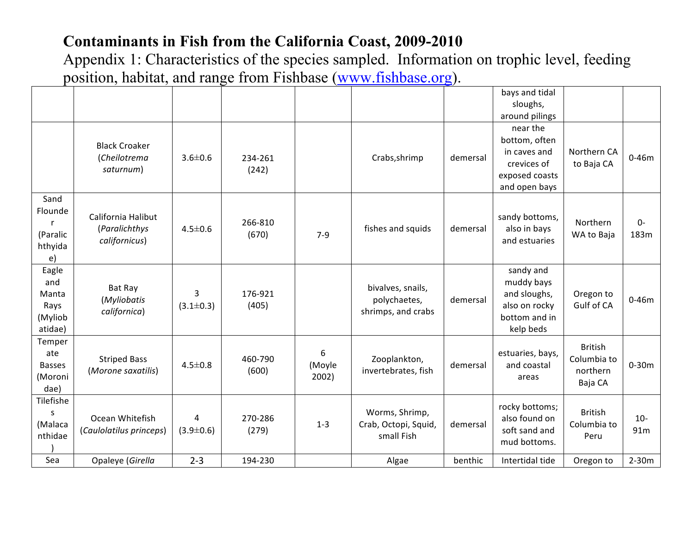|                                                     |                                                      |                      |                  |                      |                                                         |          | bays and tidal                                                                                                |                                                      |              |
|-----------------------------------------------------|------------------------------------------------------|----------------------|------------------|----------------------|---------------------------------------------------------|----------|---------------------------------------------------------------------------------------------------------------|------------------------------------------------------|--------------|
|                                                     |                                                      |                      |                  |                      |                                                         |          | sloughs,                                                                                                      |                                                      |              |
|                                                     | <b>Black Croaker</b><br>(Cheilotrema<br>saturnum)    | $3.6 \pm 0.6$        | 234-261<br>(242) |                      | Crabs, shrimp                                           | demersal | around pilings<br>near the<br>bottom, often<br>in caves and<br>crevices of<br>exposed coasts<br>and open bays | Northern CA<br>to Baja CA                            | $0 - 46m$    |
| Sand<br>Flounde<br>-r<br>(Paralic<br>hthyida<br>e)  | California Halibut<br>(Paralichthys<br>californicus) | $4.5 \pm 0.6$        | 266-810<br>(670) | $7 - 9$              | fishes and squids                                       | demersal | sandy bottoms,<br>also in bays<br>and estuaries                                                               | Northern<br>WA to Baja                               | $0-$<br>183m |
| Eagle<br>and<br>Manta<br>Rays<br>(Myliob<br>atidae) | Bat Ray<br>(Myliobatis<br>californica)               | 3<br>$(3.1 \pm 0.3)$ | 176-921<br>(405) |                      | bivalves, snails,<br>polychaetes,<br>shrimps, and crabs | demersal | sandy and<br>muddy bays<br>and sloughs,<br>also on rocky<br>bottom and in<br>kelp beds                        | Oregon to<br>Gulf of CA                              | $0 - 46m$    |
| Temper<br>ate<br><b>Basses</b><br>(Moroni<br>dae)   | <b>Striped Bass</b><br>(Morone saxatilis)            | $4.5 \pm 0.8$        | 460-790<br>(600) | 6<br>(Moyle<br>2002) | Zooplankton,<br>invertebrates, fish                     | demersal | estuaries, bays,<br>and coastal<br>areas                                                                      | <b>British</b><br>Columbia to<br>northern<br>Baja CA | $0-30m$      |
| Tilefishe<br>S<br>(Malaca<br>nthidae                | Ocean Whitefish<br>(Caulolatilus princeps)           | 4<br>$(3.9 \pm 0.6)$ | 270-286<br>(279) | $1 - 3$              | Worms, Shrimp,<br>Crab, Octopi, Squid,<br>small Fish    | demersal | rocky bottoms;<br>also found on<br>soft sand and<br>mud bottoms.                                              | <b>British</b><br>Columbia to<br>Peru                | $10-$<br>91m |
| Sea                                                 | Opaleye (Girella                                     | $2 - 3$              | 194-230          |                      | Algae                                                   | benthic  | Intertidal tide                                                                                               | Oregon to                                            | $2-30m$      |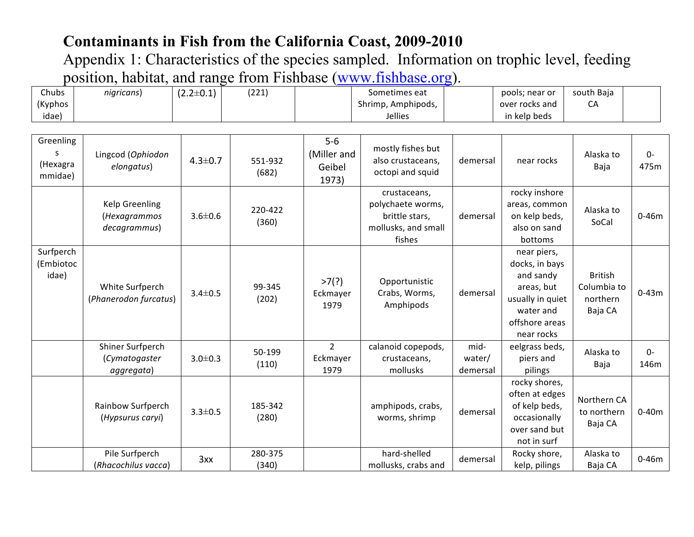| Chubs<br>(Kyphos<br>idae)             | nigricans)                                      | $(2.2 \pm 0.1)$ | (221)            |                                         | Sometimes eat<br>Shrimp, Amphipods,<br>Jellies                                       |                            | pools; near or<br>over rocks and<br>in kelp beds                                                                          | south Baja<br>CA                                     |               |
|---------------------------------------|-------------------------------------------------|-----------------|------------------|-----------------------------------------|--------------------------------------------------------------------------------------|----------------------------|---------------------------------------------------------------------------------------------------------------------------|------------------------------------------------------|---------------|
| Greenling<br>S<br>(Hexagra<br>mmidae) | Lingcod (Ophiodon<br>elongatus)                 | $4.3 \pm 0.7$   | 551-932<br>(682) | $5-6$<br>(Miller and<br>Geibel<br>1973) | mostly fishes but<br>also crustaceans,<br>octopi and squid                           | demersal                   | near rocks                                                                                                                | Alaska to<br>Baja                                    | $0-$<br>475m  |
|                                       | Kelp Greenling<br>(Hexagrammos<br>decagrammus)  | $3.6 \pm 0.6$   | 220-422<br>(360) |                                         | crustaceans,<br>polychaete worms,<br>brittle stars,<br>mollusks, and small<br>fishes | demersal                   | rocky inshore<br>areas, common<br>on kelp beds,<br>also on sand<br>bottoms                                                | Alaska to<br>SoCal                                   | $0 - 46m$     |
| Surfperch<br>(Embiotoc<br>idae)       | White Surfperch<br>(Phanerodon furcatus)        | $3.4 \pm 0.5$   | 99-345<br>(202)  | >7(?)<br>Eckmayer<br>1979               | Opportunistic<br>Crabs, Worms,<br>Amphipods                                          | demersal                   | near piers,<br>docks, in bays<br>and sandy<br>areas, but<br>usually in quiet<br>water and<br>offshore areas<br>near rocks | <b>British</b><br>Columbia to<br>northern<br>Baja CA | $0 - 43m$     |
|                                       | Shiner Surfperch<br>(Cymatogaster<br>aggregata) | $3.0 \pm 0.3$   | 50-199<br>(110)  | $2^{\circ}$<br>Eckmayer<br>1979         | calanoid copepods,<br>crustaceans,<br>mollusks                                       | mid-<br>water/<br>demersal | eelgrass beds,<br>piers and<br>pilings                                                                                    | Alaska to<br>Baja                                    | $O -$<br>146m |
|                                       | Rainbow Surfperch<br>(Hypsurus caryi)           | $3.3 \pm 0.5$   | 185-342<br>(280) |                                         | amphipods, crabs,<br>worms, shrimp                                                   | demersal                   | rocky shores,<br>often at edges<br>of kelp beds,<br>occasionally<br>over sand but<br>not in surf                          | Northern CA<br>to northern<br>Baja CA                | $0-40m$       |
|                                       | Pile Surfperch<br>(Rhacochilus vacca)           | 3xx             | 280-375<br>(340) |                                         | hard-shelled<br>mollusks, crabs and                                                  | demersal                   | Rocky shore,<br>kelp, pilings                                                                                             | Alaska to<br>Baja CA                                 | $0 - 46m$     |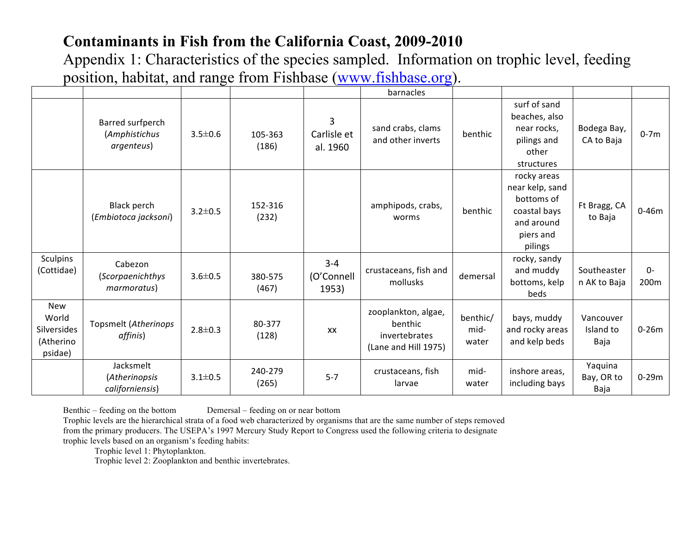Appendix 1: Characteristics of the species sampled. Information on trophic level, feeding position, habitat, and range from Fishbase (www.fishbase.org).

|                                                     |                                                    |               |                  |                                | barnacles                                                               |                           |                                                                                                    |                                |              |
|-----------------------------------------------------|----------------------------------------------------|---------------|------------------|--------------------------------|-------------------------------------------------------------------------|---------------------------|----------------------------------------------------------------------------------------------------|--------------------------------|--------------|
|                                                     | Barred surfperch<br>(Amphistichus<br>argenteus)    | $3.5 \pm 0.6$ | 105-363<br>(186) | 3<br>Carlisle et<br>al. 1960   | sand crabs, clams<br>and other inverts                                  | benthic                   | surf of sand<br>beaches, also<br>near rocks,<br>pilings and<br>other<br>structures                 | Bodega Bay,<br>CA to Baja      | $0-7m$       |
|                                                     | Black perch<br>(Embiotoca jacksoni)                | $3.2 \pm 0.5$ | 152-316<br>(232) |                                | amphipods, crabs,<br>worms                                              | benthic                   | rocky areas<br>near kelp, sand<br>bottoms of<br>coastal bays<br>and around<br>piers and<br>pilings | Ft Bragg, CA<br>to Baja        | $0 - 46m$    |
| <b>Sculpins</b><br>(Cottidae)                       | Cabezon<br>(Scorpaenichthys<br><i>marmoratus</i> ) | $3.6 \pm 0.5$ | 380-575<br>(467) | $3 - 4$<br>(O'Connell<br>1953) | crustaceans, fish and<br>mollusks                                       | demersal                  | rocky, sandy<br>and muddy<br>bottoms, kelp<br>beds                                                 | Southeaster<br>n AK to Baja    | $0-$<br>200m |
| New<br>World<br>Silversides<br>(Atherino<br>psidae) | Topsmelt (Atherinops<br>affinis)                   | $2.8 \pm 0.3$ | 80-377<br>(128)  | XX                             | zooplankton, algae,<br>benthic<br>invertebrates<br>(Lane and Hill 1975) | benthic/<br>mid-<br>water | bays, muddy<br>and rocky areas<br>and kelp beds                                                    | Vancouver<br>Island to<br>Baja | $0-26m$      |
|                                                     | Jacksmelt<br>(Atherinopsis<br>californiensis)      | $3.1 \pm 0.5$ | 240-279<br>(265) | $5 - 7$                        | crustaceans, fish<br>larvae                                             | mid-<br>water             | inshore areas,<br>including bays                                                                   | Yaquina<br>Bay, OR to<br>Baja  | $0-29m$      |

Benthic – feeding on the bottom Demersal – feeding on or near bottom

Trophic levels are the hierarchical strata of a food web characterized by organisms that are the same number of steps removed from the primary producers. The USEPA's 1997 Mercury Study Report to Congress used the following criteria to designate trophic levels based on an organism's feeding habits:

Trophic level 1: Phytoplankton.

Trophic level 2: Zooplankton and benthic invertebrates.